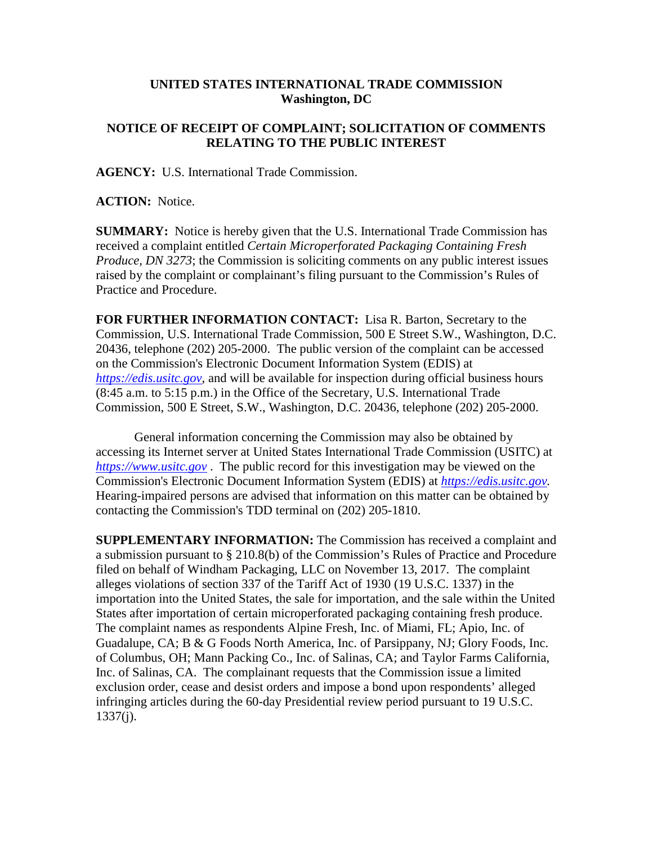## **UNITED STATES INTERNATIONAL TRADE COMMISSION Washington, DC**

## **NOTICE OF RECEIPT OF COMPLAINT; SOLICITATION OF COMMENTS RELATING TO THE PUBLIC INTEREST**

**AGENCY:** U.S. International Trade Commission.

**ACTION:** Notice.

**SUMMARY:** Notice is hereby given that the U.S. International Trade Commission has received a complaint entitled *Certain Microperforated Packaging Containing Fresh Produce, DN 3273*; the Commission is soliciting comments on any public interest issues raised by the complaint or complainant's filing pursuant to the Commission's Rules of Practice and Procedure.

**FOR FURTHER INFORMATION CONTACT:** Lisa R. Barton, Secretary to the Commission, U.S. International Trade Commission, 500 E Street S.W., Washington, D.C. 20436, telephone (202) 205-2000. The public version of the complaint can be accessed on the Commission's Electronic Document Information System (EDIS) at *[https://edis.usitc.gov](https://edis.usitc.gov/)*, and will be available for inspection during official business hours (8:45 a.m. to 5:15 p.m.) in the Office of the Secretary, U.S. International Trade Commission, 500 E Street, S.W., Washington, D.C. 20436, telephone (202) 205-2000.

General information concerning the Commission may also be obtained by accessing its Internet server at United States International Trade Commission (USITC) at *[https://www.usitc.gov](https://www.usitc.gov/)* . The public record for this investigation may be viewed on the Commission's Electronic Document Information System (EDIS) at *[https://edis.usitc.gov.](https://edis.usitc.gov/)* Hearing-impaired persons are advised that information on this matter can be obtained by contacting the Commission's TDD terminal on (202) 205-1810.

**SUPPLEMENTARY INFORMATION:** The Commission has received a complaint and a submission pursuant to § 210.8(b) of the Commission's Rules of Practice and Procedure filed on behalf of Windham Packaging, LLC on November 13, 2017. The complaint alleges violations of section 337 of the Tariff Act of 1930 (19 U.S.C. 1337) in the importation into the United States, the sale for importation, and the sale within the United States after importation of certain microperforated packaging containing fresh produce. The complaint names as respondents Alpine Fresh, Inc. of Miami, FL; Apio, Inc. of Guadalupe, CA; B & G Foods North America, Inc. of Parsippany, NJ; Glory Foods, Inc. of Columbus, OH; Mann Packing Co., Inc. of Salinas, CA; and Taylor Farms California, Inc. of Salinas, CA. The complainant requests that the Commission issue a limited exclusion order, cease and desist orders and impose a bond upon respondents' alleged infringing articles during the 60-day Presidential review period pursuant to 19 U.S.C. 1337(j).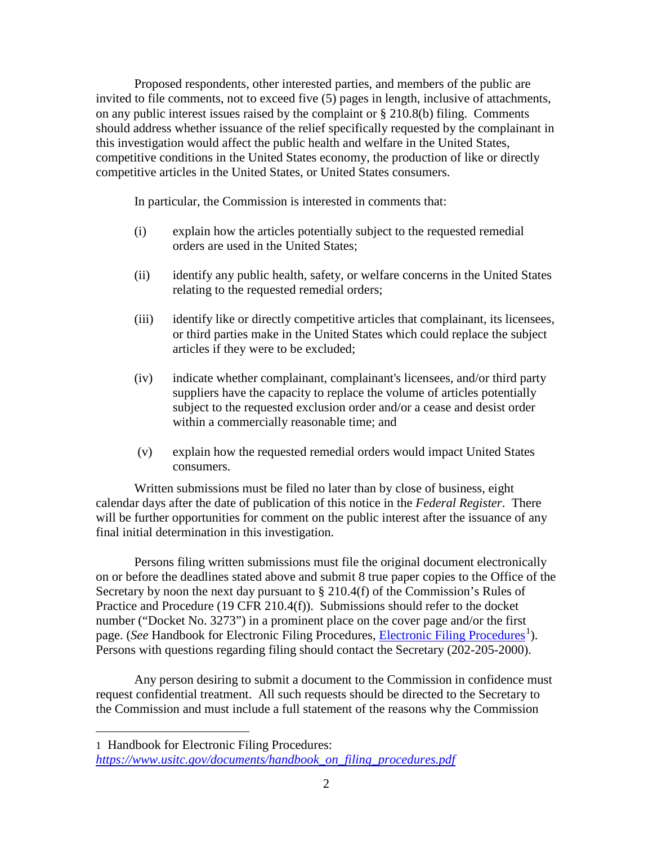Proposed respondents, other interested parties, and members of the public are invited to file comments, not to exceed five (5) pages in length, inclusive of attachments, on any public interest issues raised by the complaint or § 210.8(b) filing. Comments should address whether issuance of the relief specifically requested by the complainant in this investigation would affect the public health and welfare in the United States, competitive conditions in the United States economy, the production of like or directly competitive articles in the United States, or United States consumers.

In particular, the Commission is interested in comments that:

- (i) explain how the articles potentially subject to the requested remedial orders are used in the United States;
- (ii) identify any public health, safety, or welfare concerns in the United States relating to the requested remedial orders;
- (iii) identify like or directly competitive articles that complainant, its licensees, or third parties make in the United States which could replace the subject articles if they were to be excluded;
- (iv) indicate whether complainant, complainant's licensees, and/or third party suppliers have the capacity to replace the volume of articles potentially subject to the requested exclusion order and/or a cease and desist order within a commercially reasonable time; and
- (v) explain how the requested remedial orders would impact United States consumers.

Written submissions must be filed no later than by close of business, eight calendar days after the date of publication of this notice in the *Federal Register*. There will be further opportunities for comment on the public interest after the issuance of any final initial determination in this investigation.

Persons filing written submissions must file the original document electronically on or before the deadlines stated above and submit 8 true paper copies to the Office of the Secretary by noon the next day pursuant to  $\S 210.4(f)$  of the Commission's Rules of Practice and Procedure (19 CFR 210.4(f)). Submissions should refer to the docket number ("Docket No. 3273") in a prominent place on the cover page and/or the first page. (*See* Handbook for [Electronic Filing Procedures](https://www.usitc.gov/documents/handbook_on_filing_procedures.pdf), *Electronic Filing Procedures*<sup>[1](#page-1-0)</sup>). Persons with questions regarding filing should contact the Secretary (202-205-2000).

Any person desiring to submit a document to the Commission in confidence must request confidential treatment. All such requests should be directed to the Secretary to the Commission and must include a full statement of the reasons why the Commission

 $\overline{a}$ 

<span id="page-1-0"></span><sup>1</sup> Handbook for Electronic Filing Procedures: *[https://www.usitc.gov/documents/handbook\\_on\\_filing\\_procedures.pdf](https://www.usitc.gov/documents/handbook_on_filing_procedures.pdf)*